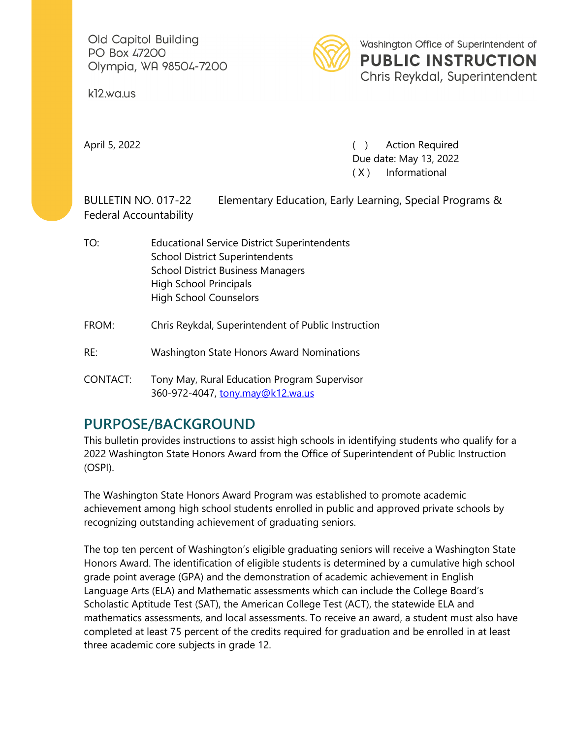Old Capitol Building PO Box 47200 Olympia, WA 98504-7200

k12.wa.us



Washington Office of Superintendent of **PUBLIC INSTRUCTION** Chris Reykdal, Superintendent

April 5, 2022 **(a)** Action Required Due date: May 13, 2022 ( X ) Informational

BULLETIN NO. 017-22 Elementary Education, Early Learning, Special Programs & Federal Accountability

- TO: Educational Service District Superintendents School District Superintendents School District Business Managers High School Principals High School Counselors
- FROM: Chris Reykdal, Superintendent of Public Instruction
- RE: Washington State Honors Award Nominations
- CONTACT: Tony May, Rural Education Program Supervisor 360-972-4047, [tony.may@k12.wa.us](mailto:tony.may@k12.wa.us)

## **PURPOSE/BACKGROUND**

This bulletin provides instructions to assist high schools in identifying students who qualify for a 2022 Washington State Honors Award from the Office of Superintendent of Public Instruction (OSPI).

The Washington State Honors Award Program was established to promote academic achievement among high school students enrolled in public and approved private schools by recognizing outstanding achievement of graduating seniors.

The top ten percent of Washington's eligible graduating seniors will receive a Washington State Honors Award. The identification of eligible students is determined by a cumulative high school grade point average (GPA) and the demonstration of academic achievement in English Language Arts (ELA) and Mathematic assessments which can include the College Board's Scholastic Aptitude Test (SAT), the American College Test (ACT), the statewide ELA and mathematics assessments, and local assessments. To receive an award, a student must also have completed at least 75 percent of the credits required for graduation and be enrolled in at least three academic core subjects in grade 12.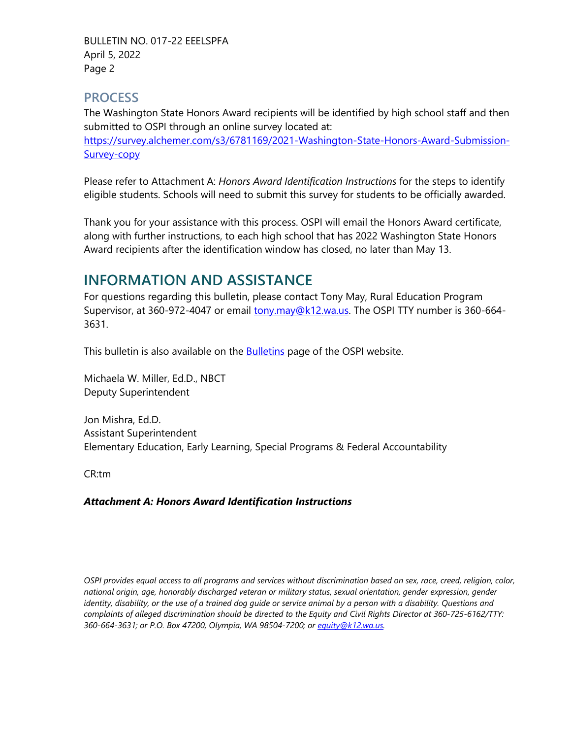BULLETIN NO. 017-22 EEELSPFA April 5, 2022 Page 2

#### **PROCESS**

The Washington State Honors Award recipients will be identified by high school staff and then submitted to OSPI through an online survey located at:

[https://survey.alchemer.com/s3/6781169/2021-Washington-State-Honors-Award-Submission-](https://nam02.safelinks.protection.outlook.com/?url=https%3A%2F%2Fsurvey.alchemer.com%2Fs3%2F6781169%2F2021-Washington-State-Honors-Award-Submission-Survey-copy&data=04%7C01%7Cfaith.rackley%40k12.wa.us%7Cb61ae9c767f648cb70ea08da06aa379d%7Cb2fe5ccf10a546feae45a0267412af7a%7C0%7C0%7C637829625389216839%7CUnknown%7CTWFpbGZsb3d8eyJWIjoiMC4wLjAwMDAiLCJQIjoiV2luMzIiLCJBTiI6Ik1haWwiLCJXVCI6Mn0%3D%7C3000&sdata=cmC5Iz%2FP%2BAbO%2BCboBKL2ZSwhzqsZWRky7hqAVXMit48%3D&reserved=0)[Survey-copy](https://nam02.safelinks.protection.outlook.com/?url=https%3A%2F%2Fsurvey.alchemer.com%2Fs3%2F6781169%2F2021-Washington-State-Honors-Award-Submission-Survey-copy&data=04%7C01%7Cfaith.rackley%40k12.wa.us%7Cb61ae9c767f648cb70ea08da06aa379d%7Cb2fe5ccf10a546feae45a0267412af7a%7C0%7C0%7C637829625389216839%7CUnknown%7CTWFpbGZsb3d8eyJWIjoiMC4wLjAwMDAiLCJQIjoiV2luMzIiLCJBTiI6Ik1haWwiLCJXVCI6Mn0%3D%7C3000&sdata=cmC5Iz%2FP%2BAbO%2BCboBKL2ZSwhzqsZWRky7hqAVXMit48%3D&reserved=0)

Please refer to Attachment A: *Honors Award Identification Instructions* for the steps to identify eligible students. Schools will need to submit this survey for students to be officially awarded.

Thank you for your assistance with this process. OSPI will email the Honors Award certificate, along with further instructions, to each high school that has 2022 Washington State Honors Award recipients after the identification window has closed, no later than May 13.

# **INFORMATION AND ASSISTANCE**

For questions regarding this bulletin, please contact Tony May, Rural Education Program Supervisor, at 360-972-4047 or email [tony.may@k12.wa.us.](mailto:tony.may@k12.wa.us) The OSPI TTY number is 360-664-3631.

This bulletin is also available on the **Bulletins page of the OSPI website.** 

Michaela W. Miller, Ed.D., NBCT Deputy Superintendent

Jon Mishra, Ed.D. Assistant Superintendent Elementary Education, Early Learning, Special Programs & Federal Accountability

CR:tm

#### *Attachment A: Honors Award Identification Instructions*

*OSPI provides equal access to all programs and services without discrimination based on sex, race, creed, religion, color, national origin, age, honorably discharged veteran or military status, sexual orientation, gender expression, gender identity, disability, or the use of a trained dog guide or service animal by a person with a disability. Questions and complaints of alleged discrimination should be directed to the Equity and Civil Rights Director at 360-725-6162/TTY: 360-664-3631; or P.O. Box 47200, Olympia, WA 98504-7200; or [equity@k12.wa.us.](mailto:equity@k12.wa.us)*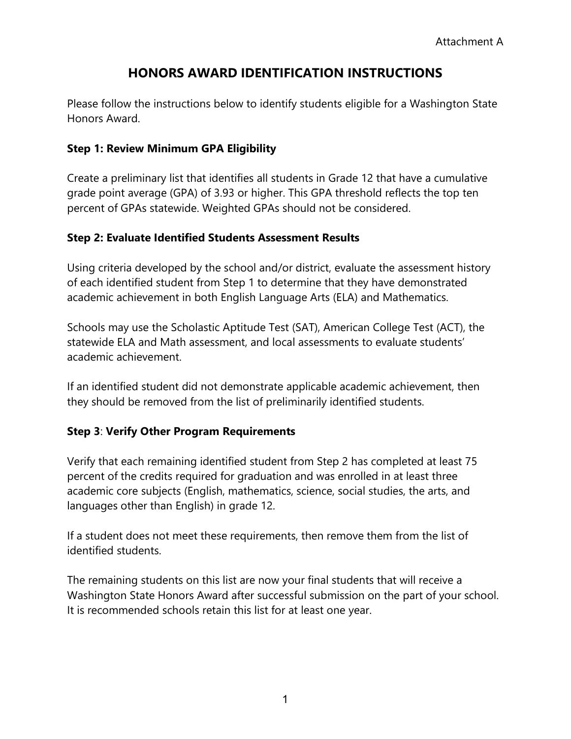### **HONORS AWARD IDENTIFICATION INSTRUCTIONS**

Please follow the instructions below to identify students eligible for a Washington State Honors Award.

#### **Step 1: Review Minimum GPA Eligibility**

Create a preliminary list that identifies all students in Grade 12 that have a cumulative grade point average (GPA) of 3.93 or higher. This GPA threshold reflects the top ten percent of GPAs statewide. Weighted GPAs should not be considered.

#### **Step 2: Evaluate Identified Students Assessment Results**

Using criteria developed by the school and/or district, evaluate the assessment history of each identified student from Step 1 to determine that they have demonstrated academic achievement in both English Language Arts (ELA) and Mathematics.

Schools may use the Scholastic Aptitude Test (SAT), American College Test (ACT), the statewide ELA and Math assessment, and local assessments to evaluate students' academic achievement.

If an identified student did not demonstrate applicable academic achievement, then they should be removed from the list of preliminarily identified students.

### **Step 3**: **Verify Other Program Requirements**

Verify that each remaining identified student from Step 2 has completed at least 75 percent of the credits required for graduation and was enrolled in at least three academic core subjects (English, mathematics, science, social studies, the arts, and languages other than English) in grade 12.

If a student does not meet these requirements, then remove them from the list of identified students.

The remaining students on this list are now your final students that will receive a Washington State Honors Award after successful submission on the part of your school. It is recommended schools retain this list for at least one year.